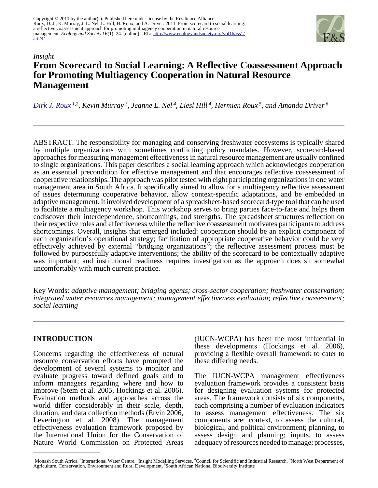

# *Insight* **From Scorecard to Social Learning: A Reflective Coassessment Approach for Promoting Multiagency Cooperation in Natural Resource Management**

*[Dirk J. Roux](mailto:dirk.roux@adm.monash.edu) 1,2 , Kevin Murray<sup>3</sup> , Jeanne L. Nel<sup>4</sup> , Liesl Hill<sup>4</sup> , Hermien Roux<sup>5</sup>, and Amanda Driver<sup>6</sup>*

ABSTRACT. The responsibility for managing and conserving freshwater ecosystems is typically shared by multiple organizations with sometimes conflicting policy mandates. However, scorecard-based approaches for measuring management effectiveness in natural resource management are usually confined to single organizations. This paper describes a social learning approach which acknowledges cooperation as an essential precondition for effective management and that encourages reflective coassessment of cooperative relationships. The approach was pilot tested with eight participating organizations in one water management area in South Africa. It specifically aimed to allow for a multiagency reflective assessment of issues determining cooperative behavior, allow context-specific adaptations, and be embedded in adaptive management. It involved development of a spreadsheet-based scorecard-type tool that can be used to facilitate a multiagency workshop. This workshop serves to bring parties face-to-face and helps them codiscover their interdependence, shortcomings, and strengths. The spreadsheet structures reflection on their respective roles and effectiveness while the reflective coassessment motivates participants to address shortcomings. Overall, insights that emerged included: cooperation should be an explicit component of each organization's operational strategy; facilitation of appropriate cooperative behavior could be very effectively achieved by external "bridging organizations"; the reflective assessment process must be followed by purposefully adaptive interventions; the ability of the scorecard to be contextually adaptive was important; and institutional readiness requires investigation as the approach does sit somewhat uncomfortably with much current practice.

Key Words: *adaptive management; bridging agents; cross-sector cooperation; freshwater conservation; integrated water resources management; management effectiveness evaluation; reflective coassessment; social learning*

## **INTRODUCTION**

Concerns regarding the effectiveness of natural resource conservation efforts have prompted the development of several systems to monitor and evaluate progress toward defined goals and to inform managers regarding where and how to improve (Stem et al. 2005, Hockings et al. 2006). Evaluation methods and approaches across the world differ considerably in their scale, depth, duration, and data collection methods (Ervin 2006, Leverington et al. 2008). The management effectiveness evaluation framework proposed by the International Union for the Conservation of Nature World Commission on Protected Areas

(IUCN-WCPA) has been the most influential in these developments (Hockings et al. 2006), providing a flexible overall framework to cater to these differing needs.

The IUCN-WCPA management effectiveness evaluation framework provides a consistent basis for designing evaluation systems for protected areas. The framework consists of six components, each comprising a number of evaluation indicators to assess management effectiveness. The six components are: context, to assess the cultural, biological, and political environment; planning, to assess design and planning; inputs, to assess adequacy of resources needed to manage; processes,

<sup>&</sup>lt;sup>1</sup>Monash South Africa, <sup>2</sup>International Water Centre, <sup>3</sup>Insight Modelling Services, <sup>4</sup>Council for Scientific and Industrial Research, <sup>5</sup>North West Department of Agriculture, Conservation, Environment and Rural Development, <sup>6</sup> South African National Biodiversity Institute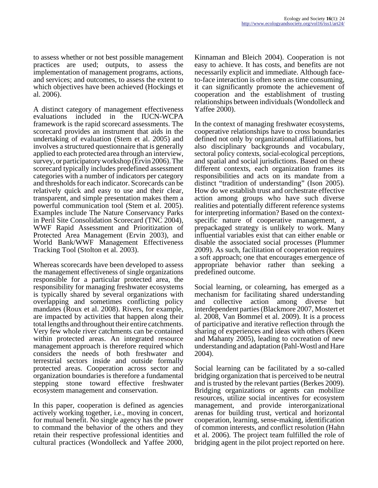to assess whether or not best possible management practices are used; outputs, to assess the implementation of management programs, actions, and services; and outcomes, to assess the extent to which objectives have been achieved (Hockings et al. 2006).

A distinct category of management effectiveness evaluations included in the IUCN-WCPA framework is the rapid scorecard assessments. The scorecard provides an instrument that aids in the undertaking of evaluation (Stem et al. 2005) and involves a structured questionnaire that is generally applied to each protected area through an interview, survey, or participatory workshop (Ervin 2006). The scorecard typically includes predefined assessment categories with a number of indicators per category and thresholds for each indicator. Scorecards can be relatively quick and easy to use and their clear, transparent, and simple presentation makes them a powerful communication tool (Stem et al. 2005). Examples include The Nature Conservancy Parks in Peril Site Consolidation Scorecard (TNC 2004), WWF Rapid Assessment and Prioritization of Protected Area Management (Ervin 2003), and World Bank/WWF Management Effectiveness Tracking Tool (Stolton et al. 2003).

Whereas scorecards have been developed to assess the management effectiveness of single organizations responsible for a particular protected area, the responsibility for managing freshwater ecosystems is typically shared by several organizations with overlapping and sometimes conflicting policy mandates (Roux et al. 2008). Rivers, for example, are impacted by activities that happen along their total lengths and throughout their entire catchments. Very few whole river catchments can be contained within protected areas. An integrated resource management approach is therefore required which considers the needs of both freshwater and terrestrial sectors inside and outside formally protected areas. Cooperation across sector and organization boundaries is therefore a fundamental stepping stone toward effective freshwater ecosystem management and conservation.

In this paper, cooperation is defined as agencies actively working together, i.e., moving in concert, for mutual benefit. No single agency has the power to command the behavior of the others and they retain their respective professional identities and cultural practices (Wondolleck and Yaffee 2000,

Kinnaman and Bleich 2004). Cooperation is not easy to achieve. It has costs, and benefits are not necessarily explicit and immediate. Although faceto-face interaction is often seen as time consuming, it can significantly promote the achievement of cooperation and the establishment of trusting relationships between individuals (Wondolleck and Yaffee 2000).

In the context of managing freshwater ecosystems, cooperative relationships have to cross boundaries defined not only by organizational affiliations, but also disciplinary backgrounds and vocabulary, sectoral policy contexts, social-ecological perceptions, and spatial and social jurisdictions. Based on these different contexts, each organization frames its responsibilities and acts on its mandate from a distinct "tradition of understanding" (Ison 2005). How do we establish trust and orchestrate effective action among groups who have such diverse realities and potentially different reference systems for interpreting information? Based on the contextspecific nature of cooperative management, a prepackaged strategy is unlikely to work. Many influential variables exist that can either enable or disable the associated social processes (Plummer 2009). As such, facilitation of cooperation requires a soft approach; one that encourages emergence of appropriate behavior rather than seeking a predefined outcome.

Social learning, or colearning, has emerged as a mechanism for facilitating shared understanding and collective action among diverse but interdependent parties (Blackmore 2007, Mostert et al. 2008, Van Bommel et al. 2009). It is a process of participative and iterative reflection through the sharing of experiences and ideas with others (Keen and Mahanty 2005), leading to cocreation of new understanding and adaptation (Pahl-Wostl and Hare 2004).

Social learning can be facilitated by a so-called bridging organization that is perceived to be neutral and is trusted by the relevant parties (Berkes 2009). Bridging organizations or agents can mobilize resources, utilize social incentives for ecosystem management, and provide interorganizational arenas for building trust, vertical and horizontal cooperation, learning, sense-making, identification of common interests, and conflict resolution (Hahn et al. 2006). The project team fulfilled the role of bridging agent in the pilot project reported on here.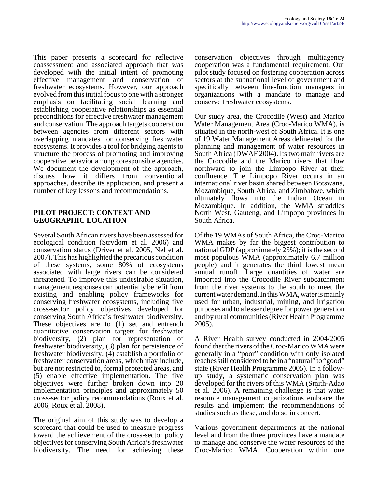This paper presents a scorecard for reflective coassessment and associated approach that was developed with the initial intent of promoting effective management and conservation of freshwater ecosystems. However, our approach evolved from this initial focus to one with a stronger emphasis on facilitating social learning and establishing cooperative relationships as essential preconditions for effective freshwater management and conservation. The approach targets cooperation between agencies from different sectors with overlapping mandates for conserving freshwater ecosystems. It provides a tool for bridging agents to structure the process of promoting and improving cooperative behavior among coresponsible agencies. We document the development of the approach, discuss how it differs from conventional approaches, describe its application, and present a number of key lessons and recommendations.

#### **PILOT PROJECT: CONTEXT AND GEOGRAPHIC LOCATION**

Several South African rivers have been assessed for ecological condition (Strydom et al. 2006) and conservation status (Driver et al. 2005, Nel et al. 2007). This has highlighted the precarious condition of these systems; some 80% of ecosystems associated with large rivers can be considered threatened. To improve this undesirable situation, management responses can potentially benefit from existing and enabling policy frameworks for conserving freshwater ecosystems, including five cross-sector policy objectives developed for conserving South Africa's freshwater biodiversity. These objectives are to (1) set and entrench quantitative conservation targets for freshwater biodiversity, (2) plan for representation of freshwater biodiversity, (3) plan for persistence of freshwater biodiversity, (4) establish a portfolio of freshwater conservation areas, which may include, but are not restricted to, formal protected areas, and (5) enable effective implementation. The five objectives were further broken down into 20 implementation principles and approximately 50 cross-sector policy recommendations (Roux et al. 2006, Roux et al. 2008).

The original aim of this study was to develop a scorecard that could be used to measure progress toward the achievement of the cross-sector policy objectives for conserving South Africa's freshwater biodiversity. The need for achieving these

conservation objectives through multiagency cooperation was a fundamental requirement. Our pilot study focused on fostering cooperation across sectors at the subnational level of government and specifically between line-function managers in organizations with a mandate to manage and conserve freshwater ecosystems.

Our study area, the Crocodile (West) and Marico Water Management Area (Croc-Marico WMA), is situated in the north-west of South Africa. It is one of 19 Water Management Areas delineated for the planning and management of water resources in South Africa (DWAF 2004). Its two main rivers are the Crocodile and the Marico rivers that flow northward to join the Limpopo River at their confluence. The Limpopo River occurs in an international river basin shared between Botswana, Mozambique, South Africa, and Zimbabwe, which ultimately flows into the Indian Ocean in Mozambique. In addition, the WMA straddles North West, Gauteng, and Limpopo provinces in South Africa.

Of the 19 WMAs of South Africa, the Croc-Marico WMA makes by far the biggest contribution to national GDP (approximately 25%); it is the second most populous WMA (approximately 6.7 million people) and it generates the third lowest mean annual runoff. Large quantities of water are imported into the Crocodile River subcatchment from the river systems to the south to meet the current water demand. In this WMA, water is mainly used for urban, industrial, mining, and irrigation purposes and to a lesser degree for power generation and by rural communities (River Health Programme 2005).

A River Health survey conducted in 2004/2005 found that the rivers of the Croc-Marico WMA were generally in a "poor" condition with only isolated reaches still considered to be in a "natural" to "good" state (River Health Programme 2005). In a followup study, a systematic conservation plan was developed for the rivers of this WMA (Smith-Adao et al. 2006). A remaining challenge is that water resource management organizations embrace the results and implement the recommendations of studies such as these, and do so in concert.

Various government departments at the national level and from the three provinces have a mandate to manage and conserve the water resources of the Croc-Marico WMA. Cooperation within one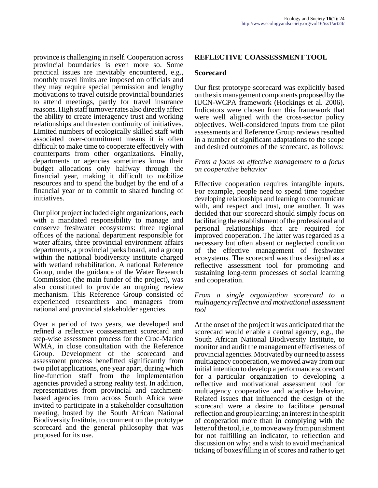province is challenging in itself. Cooperation across provincial boundaries is even more so. Some practical issues are inevitably encountered, e.g., monthly travel limits are imposed on officials and they may require special permission and lengthy motivations to travel outside provincial boundaries to attend meetings, partly for travel insurance reasons. High staff turnover rates also directly affect the ability to create interagency trust and working relationships and threaten continuity of initiatives. Limited numbers of ecologically skilled staff with associated over-commitment means it is often difficult to make time to cooperate effectively with counterparts from other organizations. Finally, departments or agencies sometimes know their budget allocations only halfway through the financial year, making it difficult to mobilize resources and to spend the budget by the end of a financial year or to commit to shared funding of initiatives.

Our pilot project included eight organizations, each with a mandated responsibility to manage and conserve freshwater ecosystems: three regional offices of the national department responsible for water affairs, three provincial environment affairs departments, a provincial parks board, and a group within the national biodiversity institute charged with wetland rehabilitation. A national Reference Group, under the guidance of the Water Research Commission (the main funder of the project), was also constituted to provide an ongoing review mechanism. This Reference Group consisted of experienced researchers and managers from national and provincial stakeholder agencies.

Over a period of two years, we developed and refined a reflective coassessment scorecard and step-wise assessment process for the Croc-Marico WMA, in close consultation with the Reference Group. Development of the scorecard and assessment process benefitted significantly from two pilot applications, one year apart, during which line-function staff from the implementation agencies provided a strong reality test. In addition, representatives from provincial and catchmentbased agencies from across South Africa were invited to participate in a stakeholder consultation meeting, hosted by the South African National Biodiversity Institute, to comment on the prototype scorecard and the general philosophy that was proposed for its use.

### **REFLECTIVE COASSESSMENT TOOL**

#### **Scorecard**

Our first prototype scorecard was explicitly based on the six management components proposed by the IUCN-WCPA framework (Hockings et al. 2006). Indicators were chosen from this framework that were well aligned with the cross-sector policy objectives. Well-considered inputs from the pilot assessments and Reference Group reviews resulted in a number of significant adaptations to the scope and desired outcomes of the scorecard, as follows:

#### *From a focus on effective management to a focus on cooperative behavior*

Effective cooperation requires intangible inputs. For example, people need to spend time together developing relationships and learning to communicate with, and respect and trust, one another. It was decided that our scorecard should simply focus on facilitating the establishment of the professional and personal relationships that are required for improved cooperation. The latter was regarded as a necessary but often absent or neglected condition of the effective management of freshwater ecosystems. The scorecard was thus designed as a reflective assessment tool for promoting and sustaining long-term processes of social learning and cooperation.

#### *From a single organization scorecard to a multiagency reflective and motivational assessment tool*

At the onset of the project it was anticipated that the scorecard would enable a central agency, e.g., the South African National Biodiversity Institute, to monitor and audit the management effectiveness of provincial agencies. Motivated by our need to assess multiagency cooperation, we moved away from our initial intention to develop a performance scorecard for a particular organization to developing a reflective and motivational assessment tool for multiagency cooperative and adaptive behavior. Related issues that influenced the design of the scorecard were a desire to facilitate personal reflection and group learning; an interest in the spirit of cooperation more than in complying with the letter of the tool, i.e., to move away from punishment for not fulfilling an indicator, to reflection and discussion on why; and a wish to avoid mechanical ticking of boxes/filling in of scores and rather to get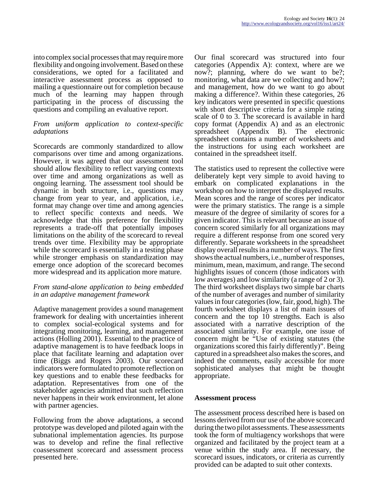into complex social processes that may require more flexibility and ongoing involvement. Based on these considerations, we opted for a facilitated and interactive assessment process as opposed to mailing a questionnaire out for completion because much of the learning may happen through participating in the process of discussing the questions and compiling an evaluative report.

#### *From uniform application to context-specific adaptations*

Scorecards are commonly standardized to allow comparisons over time and among organizations. However, it was agreed that our assessment tool should allow flexibility to reflect varying contexts over time and among organizations as well as ongoing learning. The assessment tool should be dynamic in both structure, i.e., questions may change from year to year, and application, i.e., format may change over time and among agencies to reflect specific contexts and needs. We acknowledge that this preference for flexibility represents a trade-off that potentially imposes limitations on the ability of the scorecard to reveal trends over time. Flexibility may be appropriate while the scorecard is essentially in a testing phase while stronger emphasis on standardization may emerge once adoption of the scorecard becomes more widespread and its application more mature.

### *From stand-alone application to being embedded in an adaptive management framework*

Adaptive management provides a sound management framework for dealing with uncertainties inherent to complex social-ecological systems and for integrating monitoring, learning, and management actions (Holling 2001). Essential to the practice of adaptive management is to have feedback loops in place that facilitate learning and adaptation over time (Biggs and Rogers 2003). Our scorecard indicators were formulated to promote reflection on key questions and to enable these feedbacks for adaptation. Representatives from one of the stakeholder agencies admitted that such reflection never happens in their work environment, let alone with partner agencies.

Following from the above adaptations, a second prototype was developed and piloted again with the subnational implementation agencies. Its purpose was to develop and refine the final reflective coassessment scorecard and assessment process presented here.

Our final scorecard was structured into four categories (Appendix A): context, where are we now?; planning, where do we want to be?; monitoring, what data are we collecting and how?; and management, how do we want to go about making a difference?. Within these categories, 26 key indicators were presented in specific questions with short descriptive criteria for a simple rating scale of 0 to 3. The scorecard is available in hard copy format (Appendix A) and as an electronic spreadsheet (Appendix B). The electronic spreadsheet contains a number of worksheets and the instructions for using each worksheet are contained in the spreadsheet itself.

The statistics used to represent the collective were deliberately kept very simple to avoid having to embark on complicated explanations in the workshop on how to interpret the displayed results. Mean scores and the range of scores per indicator were the primary statistics. The range is a simple measure of the degree of similarity of scores for a given indicator. This is relevant because an issue of concern scored similarly for all organizations may require a different response from one scored very differently. Separate worksheets in the spreadsheet display overall results in a number of ways. The first shows the actual numbers, i.e., number of responses, minimum, mean, maximum, and range. The second highlights issues of concern (those indicators with low averages) and low similarity (a range of 2 or 3). The third worksheet displays two simple bar charts of the number of averages and number of similarity values in four categories (low, fair, good, high). The fourth worksheet displays a list of main issues of concern and the top 10 strengths. Each is also associated with a narrative description of the associated similarity. For example, one issue of concern might be "Use of existing statutes (the organizations scored this fairly differently)". Being captured in a spreadsheet also makes the scores, and indeed the comments, easily accessible for more sophisticated analyses that might be thought appropriate.

### **Assessment process**

The assessment process described here is based on lessons derived from our use of the above scorecard during the two pilot assessments. These assessments took the form of multiagency workshops that were organized and facilitated by the project team at a venue within the study area. If necessary, the scorecard issues, indicators, or criteria as currently provided can be adapted to suit other contexts.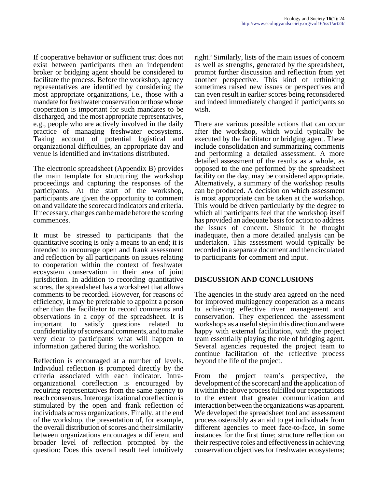If cooperative behavior or sufficient trust does not exist between participants then an independent broker or bridging agent should be considered to facilitate the process. Before the workshop, agency representatives are identified by considering the most appropriate organizations, i.e., those with a mandate for freshwater conservation or those whose cooperation is important for such mandates to be discharged, and the most appropriate representatives, e.g., people who are actively involved in the daily practice of managing freshwater ecosystems. Taking account of potential logistical and organizational difficulties, an appropriate day and venue is identified and invitations distributed.

The electronic spreadsheet (Appendix B) provides the main template for structuring the workshop proceedings and capturing the responses of the participants. At the start of the workshop, participants are given the opportunity to comment on and validate the scorecard indicators and criteria. If necessary, changes can be made before the scoring commences.

It must be stressed to participants that the quantitative scoring is only a means to an end; it is intended to encourage open and frank assessment and reflection by all participants on issues relating to cooperation within the context of freshwater ecosystem conservation in their area of joint jurisdiction. In addition to recording quantitative scores, the spreadsheet has a worksheet that allows comments to be recorded. However, for reasons of efficiency, it may be preferable to appoint a person other than the facilitator to record comments and observations in a copy of the spreadsheet. It is important to satisfy questions related to confidentiality of scores and comments, and to make very clear to participants what will happen to information gathered during the workshop.

Reflection is encouraged at a number of levels. Individual reflection is prompted directly by the criteria associated with each indicator. Intraorganizational coreflection is encouraged by requiring representatives from the same agency to reach consensus. Interorganizational coreflection is stimulated by the open and frank reflection of individuals across organizations. Finally, at the end of the workshop, the presentation of, for example, the overall distribution of scores and their similarity between organizations encourages a different and broader level of reflection prompted by the question: Does this overall result feel intuitively

right? Similarly, lists of the main issues of concern as well as strengths, generated by the spreadsheet, prompt further discussion and reflection from yet another perspective. This kind of rethinking sometimes raised new issues or perspectives and can even result in earlier scores being reconsidered and indeed immediately changed if participants so wish.

There are various possible actions that can occur after the workshop, which would typically be executed by the facilitator or bridging agent. These include consolidation and summarizing comments and performing a detailed assessment. A more detailed assessment of the results as a whole, as opposed to the one performed by the spreadsheet facility on the day, may be considered appropriate. Alternatively, a summary of the workshop results can be produced. A decision on which assessment is most appropriate can be taken at the workshop. This would be driven particularly by the degree to which all participants feel that the workshop itself has provided an adequate basis for action to address the issues of concern. Should it be thought inadequate, then a more detailed analysis can be undertaken. This assessment would typically be recorded in a separate document and then circulated to participants for comment and input.

## **DISCUSSION AND CONCLUSIONS**

The agencies in the study area agreed on the need for improved multiagency cooperation as a means to achieving effective river management and conservation. They experienced the assessment workshops as a useful step in this direction and were happy with external facilitation, with the project team essentially playing the role of bridging agent. Several agencies requested the project team to continue facilitation of the reflective process beyond the life of the project.

From the project team's perspective, the development of the scorecard and the application of it within the above process fulfilled our expectations to the extent that greater communication and interaction between the organizations was apparent. We developed the spreadsheet tool and assessment process ostensibly as an aid to get individuals from different agencies to meet face-to-face, in some instances for the first time; structure reflection on their respective roles and effectiveness in achieving conservation objectives for freshwater ecosystems;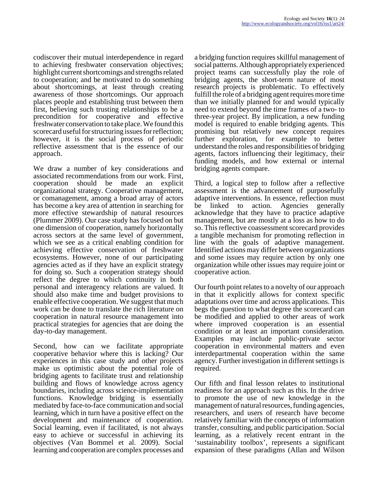codiscover their mutual interdependence in regard to achieving freshwater conservation objectives; highlight current shortcomings and strengths related to cooperation; and be motivated to do something about shortcomings, at least through creating awareness of those shortcomings. Our approach places people and establishing trust between them first, believing such trusting relationships to be a precondition for cooperative and effective freshwater conservation to take place. We found this scorecard useful for structuring issues for reflection; however, it is the social process of periodic reflective assessment that is the essence of our approach.

We draw a number of key considerations and associated recommendations from our work. First,<br>cooperation should be made an explicit cooperation should be made an organizational strategy. Cooperative management, or comanagement, among a broad array of actors has become a key area of attention in searching for more effective stewardship of natural resources (Plummer 2009). Our case study has focused on but one dimension of cooperation, namely horizontally across sectors at the same level of government, which we see as a critical enabling condition for achieving effective conservation of freshwater ecosystems. However, none of our participating agencies acted as if they have an explicit strategy for doing so. Such a cooperation strategy should reflect the degree to which continuity in both personal and interagency relations are valued. It should also make time and budget provisions to enable effective cooperation. We suggest that much work can be done to translate the rich literature on cooperation in natural resource management into practical strategies for agencies that are doing the day-to-day management.

Second, how can we facilitate appropriate cooperative behavior where this is lacking? Our experiences in this case study and other projects make us optimistic about the potential role of bridging agents to facilitate trust and relationship building and flows of knowledge across agency boundaries, including across science-implementation functions. Knowledge bridging is essentially mediated by face-to-face communication and social learning, which in turn have a positive effect on the development and maintenance of cooperation. Social learning, even if facilitated, is not always easy to achieve or successful in achieving its objectives (Van Bommel et al. 2009). Social learning and cooperation are complex processes and

a bridging function requires skillful management of social patterns. Although appropriately experienced project teams can successfully play the role of bridging agents, the short-term nature of most research projects is problematic. To effectively fulfill the role of a bridging agent requires more time than we initially planned for and would typically need to extend beyond the time frames of a two- to three-year project. By implication, a new funding model is required to enable bridging agents. This promising but relatively new concept requires further exploration, for example to better understand the roles and responsibilities of bridging agents, factors influencing their legitimacy, their funding models, and how external or internal bridging agents compare.

Third, a logical step to follow after a reflective assessment is the advancement of purposefully adaptive interventions. In essence, reflection must<br>be linked to action. Agencies generally be linked to action. Agencies generally acknowledge that they have to practice adaptive management, but are mostly at a loss as how to do so. This reflective coassessment scorecard provides a tangible mechanism for promoting reflection in line with the goals of adaptive management. Identified actions may differ between organizations and some issues may require action by only one organization while other issues may require joint or cooperative action.

Our fourth point relates to a novelty of our approach in that it explicitly allows for context specific adaptations over time and across applications. This begs the question to what degree the scorecard can be modified and applied to other areas of work where improved cooperation is an essential condition or at least an important consideration. Examples may include public-private sector cooperation in environmental matters and even interdepartmental cooperation within the same agency. Further investigation in different settings is required.

Our fifth and final lesson relates to institutional readiness for an approach such as this. In the drive to promote the use of new knowledge in the management of natural resources, funding agencies, researchers, and users of research have become relatively familiar with the concepts of information transfer, consulting, and public participation. Social learning, as a relatively recent entrant in the 'sustainability toolbox', represents a significant expansion of these paradigms (Allan and Wilson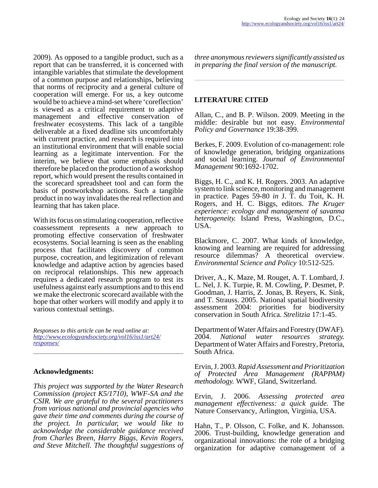2009). As opposed to a tangible product, such as a report that can be transferred, it is concerned with intangible variables that stimulate the development of a common purpose and relationships, believing that norms of reciprocity and a general culture of cooperation will emerge. For us, a key outcome would be to achieve a mind-set where 'coreflection' is viewed as a critical requirement to adaptive management and effective conservation of freshwater ecosystems. This lack of a tangible deliverable at a fixed deadline sits uncomfortably with current practice, and research is required into an institutional environment that will enable social learning as a legitimate intervention. For the interim, we believe that some emphasis should therefore be placed on the production of a workshop report, which would present the results contained in the scorecard spreadsheet tool and can form the basis of postworkshop actions. Such a tangible product in no way invalidates the real reflection and learning that has taken place.

With its focus on stimulating cooperation, reflective coassessment represents a new approach to promoting effective conservation of freshwater ecosystems. Social learning is seen as the enabling process that facilitates discovery of common purpose, cocreation, and legitimization of relevant knowledge and adaptive action by agencies based on reciprocal relationships. This new approach requires a dedicated research program to test its usefulness against early assumptions and to this end we make the electronic scorecard available with the hope that other workers will modify and apply it to various contextual settings.

*Responses to this article can be read online at: [http://www](http://www.ecologyandsociety.org/vol16/iss1/art24/responses/).ecologyandsociety.org/vol16/iss1/art24/ responses/*

### **Acknowledgments:**

*This project was supported by the Water Research Commission (project K5/1710), WWF-SA and the CSIR. We are grateful to the several practitioners from various national and provincial agencies who gave their time and comments during the course of the project. In particular, we would like to acknowledge the considerable guidance received from Charles Breen, Harry Biggs, Kevin Rogers, and Steve Mitchell. The thoughtful suggestions of*

*three anonymous reviewers significantly assisted us in preparing the final version of the manuscript.*

### **LITERATURE CITED**

Allan, C., and B. P. Wilson. 2009. Meeting in the middle: desirable but not easy. *Environmental Policy and Governance* 19:38-399.

Berkes, F. 2009. Evolution of co-management: role of knowledge generation, bridging organizations and social learning. *Journal of Environmental Management* 90:1692-1702.

Biggs, H. C., and K. H. Rogers. 2003. An adaptive system to link science, monitoring and management in practice. Pages 59-80 *in* J. T. du Toit, K. H. Rogers, and H. C. Biggs, editors. *The Kruger experience: ecology and management of savanna heterogeneity.* Island Press, Washington, D.C., USA.

Blackmore, C. 2007. What kinds of knowledge, knowing and learning are required for addressing resource dilemmas? A theoretical overview. *Environmental Science and Policy* 10:512-525.

Driver, A., K. Maze, M. Rouget, A. T. Lombard, J. L. Nel, J. K. Turpie, R. M. Cowling, P. Desmet, P. Goodman, J. Harris, Z. Jonas, B. Reyers, K. Sink, and T. Strauss. 2005. National spatial biodiversity assessment 2004: priorities for biodiversity conservation in South Africa. *Strelitzia* 17:1-45.

Department of Water Affairs and Forestry (DWAF). 2004. *National water resources strategy.* Department of Water Affairs and Forestry, Pretoria, South Africa.

Ervin, J. 2003. *Rapid Assessment and Prioritization of Protected Area Management (RAPPAM) methodology.* WWF, Gland, Switzerland.

Ervin, J. 2006. *Assessing protected area management effectiveness: a quick guide.* The Nature Conservancy, Arlington, Virginia, USA.

Hahn, T., P. Olsson, C. Folke, and K. Johansson. 2006. Trust-building, knowledge generation and organizational innovations: the role of a bridging organization for adaptive comanagement of a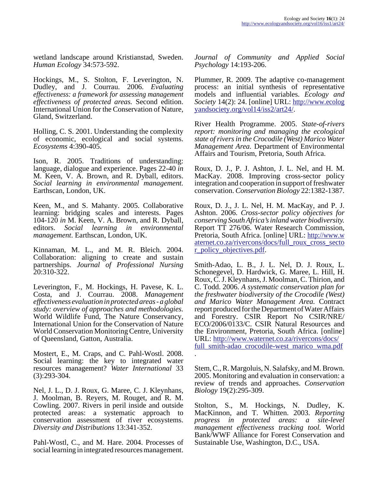wetland landscape around Kristianstad, Sweden. *Human Ecology* 34:573-592.

Hockings, M., S. Stolton, F. Leverington, N. Dudley, and J. Courrau. 2006. *Evaluating effectiveness: a framework for assessing management effectiveness of protected areas.* Second edition. International Union for the Conservation of Nature, Gland, Switzerland.

Holling, C. S. 2001. Understanding the complexity of economic, ecological and social systems. *Ecosystems* 4:390-405.

Ison, R. 2005. Traditions of understanding: language, dialogue and experience. Pages 22-40 *in* M. Keen, V. A. Brown, and R. Dyball, editors. *Social learning in environmental management.* Earthscan, London, UK.

Keen, M., and S. Mahanty. 2005. Collaborative learning: bridging scales and interests. Pages 104-120 *in* M. Keen, V. A. Brown, and R. Dyball, editors. *Social learning in environmental management*. Earthscan, London, UK.

Kinnaman, M. L., and M. R. Bleich. 2004. Collaboration: aligning to create and sustain partnerships. *Journal of Professional Nursing* 20:310-322.

Leverington, F., M. Hockings, H. Pavese, K. L. Costa, and J. Courrau. 2008. *Management effectiveness evaluation in protected areas - a global study: overview of approaches and methodologies.* World Wildlife Fund, The Nature Conservancy, International Union for the Conservation of Nature World Conservation Monitoring Centre, University of Queensland, Gatton, Australia.

Mostert, E., M. Craps, and C. Pahl-Wostl. 2008. Social learning: the key to integrated water resources management? *Water International* 33 (3):293-304.

Nel, J. L., D. J. Roux, G. Maree, C. J. Kleynhans, J. Moolman, B. Reyers, M. Rouget, and R. M. Cowling. 2007. Rivers in peril inside and outside protected areas: a systematic approach to conservation assessment of river ecosystems. *Diversity and Distributions* 13:341-352.

Pahl-Wostl, C., and M. Hare. 2004. Processes of social learning in integrated resources management.

*Journal of Community and Applied Social Psychology* 14:193-206.

Plummer, R. 2009. The adaptive co-management process: an initial synthesis of representative models and influential variables. *Ecology and Society* 14(2): 24. [online] URL: [http://www.ecolog](http://www.ecologyandsociety.org/vol14/iss2/art24/) [yandsociety.org/vol14/iss2/art24/](http://www.ecologyandsociety.org/vol14/iss2/art24/).

River Health Programme. 2005. *State-of-rivers report: monitoring and managing the ecological state of rivers in the Crocodile (West) Marico Water Management Area.* Department of Environmental Affairs and Tourism, Pretoria, South Africa.

Roux, D. J., P. J. Ashton, J. L. Nel, and H. M. MacKay. 2008. Improving cross-sector policy integration and cooperation in support of freshwater conservation. *Conservation Biology* 22:1382-1387.

Roux, D. J., J. L. Nel, H. M. MacKay, and P. J. Ashton. 2006. *Cross-sector policy objectives for conserving South Africa's inland water biodiversity.* Report TT 276/06. Water Research Commission, Pretoria, South Africa. [online] URL: [http://www.w](http://www.waternet.co.za/rivercons/docs/full_roux_cross_sector_policy_objectives.pdf) aternet.co.za/rivercons/docs/full\_roux\_cross\_secto [r\\_policy\\_objectives.pdf.](http://www.waternet.co.za/rivercons/docs/full_roux_cross_sector_policy_objectives.pdf)

Smith-Adao, L. B., J. L. Nel, D. J. Roux, L. Schonegevel, D. Hardwick, G. Maree, L. Hill, H. Roux, C. J. Kleynhans, J. Moolman, C. Thirion, and C. Todd. 2006. *A systematic conservation plan for the freshwater biodiversity of the Crocodile (West) and Marico Water Management Area.* Contract report produced for the Department of Water Affairs and Forestry. CSIR Report No CSIR/NRE/ ECO/2006/0133/C. CSIR Natural Resources and the Environment, Pretoria, South Africa. [online] URL: [http://www.waternet.co.za/rivercons/docs/](http://www.waternet.co.za/rivercons/docs/full_smith-adao_crocodile-west_marico_wma.pdf) [full\\_smith-adao\\_crocodile-west\\_marico\\_wma.pdf](http://www.waternet.co.za/rivercons/docs/full_smith-adao_crocodile-west_marico_wma.pdf) .

Stem, C., R. Margoluis, N. Salafsky, and M. Brown. 2005. Monitoring and evaluation in conservation: a review of trends and approaches. *Conservation Biology* 19(2):295-309.

Stolton, S., M. Hockings, N. Dudley, K. MacKinnon, and T. Whitten. 2003. *Reporting progress in protected areas: a site-level management effectiveness tracking tool.* World Bank/WWF Alliance for Forest Conservation and Sustainable Use, Washington, D.C., USA.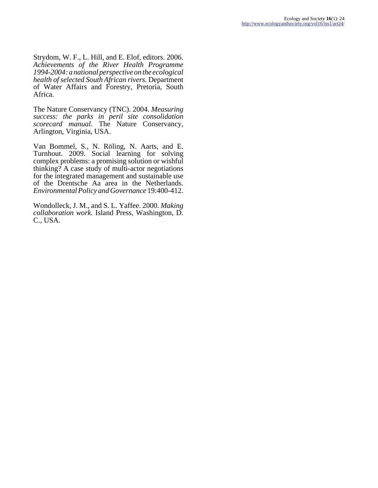Strydom, W. F., L. Hill, and E. Elof, editors. 2006. *Achievements of the River Health Programme 1994-2004: a national perspective on the ecological health of selected South African rivers.* Department of Water Affairs and Forestry, Pretoria, South Africa.

The Nature Conservancy (TNC). 2004. *Measuring success: the parks in peril site consolidation scorecard manual.* The Nature Conservancy, Arlington, Virginia, USA.

Van Bommel, S., N. Röling, N. Aarts, and E. Turnhout. 2009. Social learning for solving complex problems: a promising solution or wishful thinking? A case study of multi-actor negotiations for the integrated management and sustainable use of the Drentsche Aa area in the Netherlands. *Environmental Policy and Governance* 19:400-412.

Wondolleck, J. M., and S. L. Yaffee. 2000. *Making collaboration work.* Island Press, Washington, D. C., USA.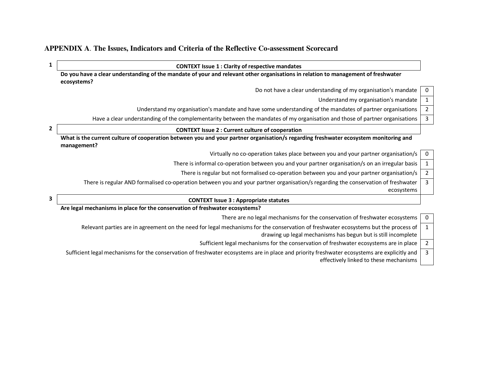### **APPENDIX A**. **The Issues, Indicators and Criteria of the Reflective Co-assessment Scorecard**

**1 CONTEXT Issue 1 : Clarity of respective mandates** 

**Do you have a clear understanding of the mandate of your and relevant other organisations in relation to management of freshwater ecosystems?** 

Do not have a clear understanding of my organisation's mandate  $\begin{bmatrix} 0 \\ 0 \end{bmatrix}$ 

Understand my organisation's mandate  $\vert$  1

3

Understand my organisation's mandate and have some understanding of the mandates of partner organisations 2

Have a clear understanding of the complementarity between the mandates of my organisation and those of partner organisations  $\frac{3}{3}$ 

### **2 CONTEXT Issue 2 : Current culture of cooperation**

**What is the current culture of cooperation between you and your partner organisation/s regarding freshwater ecosystem monitoring and management?** 

Virtually no co-operation takes place between you and your partner organisation/s  $\vert 0 \rangle$ 

There is informal co-operation between you and your partner organisation/s on an irregular basis  $\begin{bmatrix} 1 \end{bmatrix}$ 

There is regular but not formalised co-operation between you and your partner organisation/s 2

There is regular AND formalised co-operation between you and your partner organisation/s regarding the conservation of freshwater ecosystems 3

## **3 CONTEXT Issue 3 : Appropriate statutes**

**Are legal mechanisms in place for the conservation of freshwater ecosystems?**

There are no legal mechanisms for the conservation of freshwater ecosystems  $\begin{bmatrix} 0 \end{bmatrix}$ Relevant parties are in agreement on the need for legal mechanisms for the conservation of freshwater ecosystems but the process of 1

drawing up legal mechanisms has begun but is still incomplete

Sufficient legal mechanisms for the conservation of freshwater ecosystems are in place 2

Sufficient legal mechanisms for the conservation of freshwater ecosystems are in place and priority freshwater ecosystems are explicitly and effectively linked to these mechanisms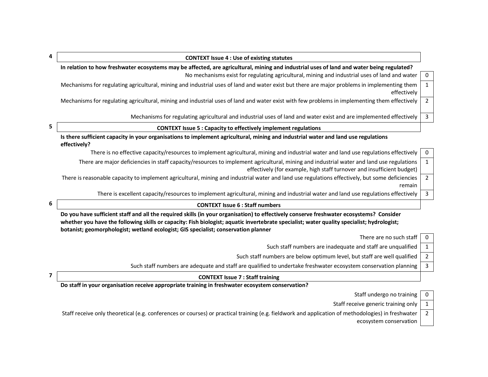| 4 | <b>CONTEXT Issue 4: Use of existing statutes</b>                                                                                                                                                                   |              |
|---|--------------------------------------------------------------------------------------------------------------------------------------------------------------------------------------------------------------------|--------------|
|   | In relation to how freshwater ecosystems may be affected, are agricultural, mining and industrial uses of land and water being regulated?                                                                          |              |
|   | No mechanisms exist for regulating agricultural, mining and industrial uses of land and water                                                                                                                      | $\mathbf 0$  |
|   | Mechanisms for regulating agricultural, mining and industrial uses of land and water exist but there are major problems in implementing them<br>effectively                                                        |              |
|   | Mechanisms for regulating agricultural, mining and industrial uses of land and water exist with few problems in implementing them effectively                                                                      | 2            |
|   | Mechanisms for regulating agricultural and industrial uses of land and water exist and are implemented effectively                                                                                                 | 3            |
| 5 | <b>CONTEXT Issue 5: Capacity to effectively implement regulations</b>                                                                                                                                              |              |
|   | Is there sufficient capacity in your organisations to implement agricultural, mining and industrial water and land use regulations<br>effectively?                                                                 |              |
|   | There is no effective capacity/resources to implement agricultural, mining and industrial water and land use regulations effectively                                                                               | $\mathbf{0}$ |
|   | There are major deficiencies in staff capacity/resources to implement agricultural, mining and industrial water and land use regulations<br>effectively (for example, high staff turnover and insufficient budget) |              |

There is reasonable capacity to implement agricultural, mining and industrial water and land use regulations effectively, but some deficiencies remain 2

There is excellent capacity/resources to implement agricultural, mining and industrial water and land use regulations effectively  $\begin{bmatrix} 3 \end{bmatrix}$ 

| 6 |
|---|
|   |

**Do you have sufficient staff and all the required skills (in your organisation) to effectively conserve freshwater ecosystems? Consider whether you have the following skills or capacity: Fish biologist; aquatic invertebrate specialist; water quality specialist; hydrologist; botanist; geomorphologist; wetland ecologist; GIS specialist; conservation planner** 

There are no such staff  $\vert 0 \vert$ 

Such staff numbers are inadequate and staff are unqualified  $\begin{vmatrix} 1 & 1 \\ 1 & 1 \end{vmatrix}$ 

Such staff numbers are below optimum level, but staff are well qualified  $\vert$  2

Such staff numbers are adequate and staff are qualified to undertake freshwater ecosystem conservation planning  $\begin{bmatrix} 3 \end{bmatrix}$ 

**7 CONTEXT Issue 7 : Staff training** 

**Do staff in your organisation receive appropriate training in freshwater ecosystem conservation?**

Staff undergo no training  $\vert 0 \vert$ 

Staff receive generic training only  $\vert 1 \rangle$ 

Staff receive only theoretical (e.g. conferences or courses) or practical training (e.g. fieldwork and application of methodologies) in freshwater ecosystem conservation 2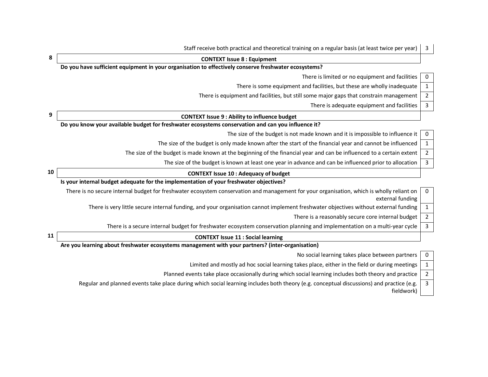|    | Staff receive both practical and theoretical training on a regular basis (at least twice per year)                                                            | 3                |
|----|---------------------------------------------------------------------------------------------------------------------------------------------------------------|------------------|
| 8  | <b>CONTEXT Issue 8 : Equipment</b>                                                                                                                            |                  |
|    | Do you have sufficient equipment in your organisation to effectively conserve freshwater ecosystems?                                                          |                  |
|    | There is limited or no equipment and facilities                                                                                                               | $\mathbf 0$      |
|    | There is some equipment and facilities, but these are wholly inadequate                                                                                       | $\mathbf{1}$     |
|    | There is equipment and facilities, but still some major gaps that constrain management                                                                        | $\boldsymbol{2}$ |
|    | There is adequate equipment and facilities                                                                                                                    | $\mathbf{3}$     |
| 9  | <b>CONTEXT Issue 9: Ability to influence budget</b>                                                                                                           |                  |
|    | Do you know your available budget for freshwater ecosystems conservation and can you influence it?                                                            |                  |
|    | The size of the budget is not made known and it is impossible to influence it                                                                                 | $\mathbf 0$      |
|    | The size of the budget is only made known after the start of the financial year and cannot be influenced                                                      | $\mathbf{1}$     |
|    | The size of the budget is made known at the beginning of the financial year and can be influenced to a certain extent                                         | $\overline{2}$   |
|    | The size of the budget is known at least one year in advance and can be influenced prior to allocation                                                        | $\overline{3}$   |
| 10 | <b>CONTEXT Issue 10 : Adequacy of budget</b>                                                                                                                  |                  |
|    | Is your internal budget adequate for the implementation of your freshwater objectives?                                                                        |                  |
|    | There is no secure internal budget for freshwater ecosystem conservation and management for your organisation, which is wholly reliant on<br>external funding | 0                |
|    | There is very little secure internal funding, and your organisation cannot implement freshwater objectives without external funding                           | 1                |
|    | There is a reasonably secure core internal budget                                                                                                             | $\overline{2}$   |
|    | There is a secure internal budget for freshwater ecosystem conservation planning and implementation on a multi-year cycle                                     | $\overline{3}$   |
| 11 | <b>CONTEXT Issue 11 : Social learning</b>                                                                                                                     |                  |
|    | Are you learning about freshwater ecosystems management with your partners? (inter-organisation)                                                              |                  |
|    | No social learning takes place between partners                                                                                                               | $\mathbf 0$      |
|    | Limited and mostly ad hoc social learning takes place, either in the field or during meetings                                                                 | $\mathbf{1}$     |
|    | Planned events take place occasionally during which social learning includes both theory and practice                                                         | $\overline{2}$   |

Regular and planned events take place during which social learning includes both theory (e.g. conceptual discussions) and practice (e.g. fieldwork) 3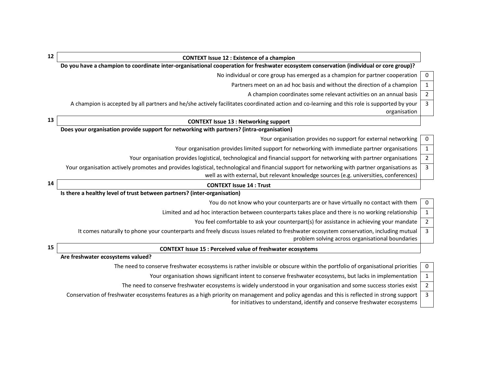| 12 | <b>CONTEXT Issue 12 : Existence of a champion</b>                                                                                                                                                                                       |                |
|----|-----------------------------------------------------------------------------------------------------------------------------------------------------------------------------------------------------------------------------------------|----------------|
|    | Do you have a champion to coordinate inter-organisational cooperation for freshwater ecosystem conservation (individual or core group)?                                                                                                 |                |
|    | No individual or core group has emerged as a champion for partner cooperation                                                                                                                                                           | 0              |
|    | Partners meet on an ad hoc basis and without the direction of a champion                                                                                                                                                                | $\mathbf{1}$   |
|    | A champion coordinates some relevant activities on an annual basis                                                                                                                                                                      | $\overline{2}$ |
|    | A champion is accepted by all partners and he/she actively facilitates coordinated action and co-learning and this role is supported by your<br>organisation                                                                            | $\overline{3}$ |
| 13 | <b>CONTEXT Issue 13: Networking support</b>                                                                                                                                                                                             |                |
|    | Does your organisation provide support for networking with partners? (intra-organisation)                                                                                                                                               |                |
|    | Your organisation provides no support for external networking                                                                                                                                                                           | 0              |
|    | Your organisation provides limited support for networking with immediate partner organisations                                                                                                                                          | $\mathbf{1}$   |
|    | Your organisation provides logistical, technological and financial support for networking with partner organisations                                                                                                                    | $\overline{2}$ |
|    | Your organisation actively promotes and provides logistical, technological and financial support for networking with partner organisations as<br>well as with external, but relevant knowledge sources (e.g. universities, conferences) | 3              |
| 14 | <b>CONTEXT Issue 14: Trust</b>                                                                                                                                                                                                          |                |
|    | Is there a healthy level of trust between partners? (inter-organisation)                                                                                                                                                                |                |
|    | You do not know who your counterparts are or have virtually no contact with them                                                                                                                                                        | 0              |
|    | Limited and ad hoc interaction between counterparts takes place and there is no working relationship                                                                                                                                    | 1              |
|    | You feel comfortable to ask your counterpart(s) for assistance in achieving your mandate                                                                                                                                                | $\overline{2}$ |
|    | It comes naturally to phone your counterparts and freely discuss issues related to freshwater ecosystem conservation, including mutual<br>problem solving across organisational boundaries                                              | 3              |
| 15 | <b>CONTEXT Issue 15 : Perceived value of freshwater ecosystems</b>                                                                                                                                                                      |                |
|    |                                                                                                                                                                                                                                         |                |
|    | Are freshwater ecosystems valued?                                                                                                                                                                                                       |                |
|    | The need to conserve freshwater ecosystems is rather invisible or obscure within the portfolio of organisational priorities                                                                                                             | 0              |
|    | Your organisation shows significant intent to conserve freshwater ecosystems, but lacks in implementation                                                                                                                               | $\mathbf{1}$   |
|    | The need to conserve freshwater ecosystems is widely understood in your organisation and some success stories exist                                                                                                                     | $\overline{2}$ |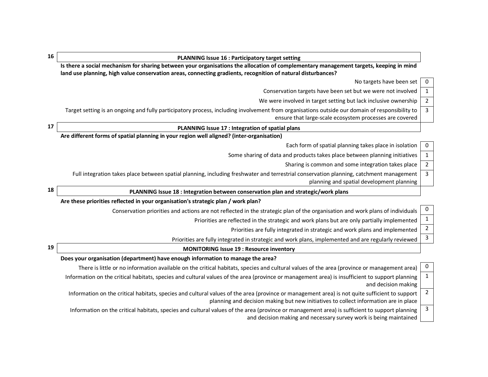| 16 | <b>PLANNING Issue 16 : Participatory target setting</b>                                                                                                                                                                                |                |
|----|----------------------------------------------------------------------------------------------------------------------------------------------------------------------------------------------------------------------------------------|----------------|
|    | Is there a social mechanism for sharing between your organisations the allocation of complementary management targets, keeping in mind                                                                                                 |                |
|    | land use planning, high value conservation areas, connecting gradients, recognition of natural disturbances?<br>No targets have been set                                                                                               | 0              |
|    | Conservation targets have been set but we were not involved                                                                                                                                                                            | $\mathbf{1}$   |
|    | We were involved in target setting but lack inclusive ownership                                                                                                                                                                        | $\overline{2}$ |
|    | Target setting is an ongoing and fully participatory process, including involvement from organisations outside our domain of responsibility to                                                                                         | $\mathbf{3}$   |
|    | ensure that large-scale ecosystem processes are covered                                                                                                                                                                                |                |
| 17 | PLANNING Issue 17 : Integration of spatial plans                                                                                                                                                                                       |                |
|    | Are different forms of spatial planning in your region well aligned? (inter-organisation)                                                                                                                                              |                |
|    | Each form of spatial planning takes place in isolation                                                                                                                                                                                 | 0              |
|    | Some sharing of data and products takes place between planning initiatives                                                                                                                                                             | $\mathbf{1}$   |
|    | Sharing is common and some integration takes place                                                                                                                                                                                     | $\overline{2}$ |
|    | Full integration takes place between spatial planning, including freshwater and terrestrial conservation planning, catchment management<br>planning and spatial development planning                                                   | $\overline{3}$ |
| 18 | PLANNING Issue 18 : Integration between conservation plan and strategic/work plans                                                                                                                                                     |                |
|    | Are these priorities reflected in your organisation's strategic plan / work plan?                                                                                                                                                      |                |
|    | Conservation priorities and actions are not reflected in the strategic plan of the organisation and work plans of individuals                                                                                                          | 0              |
|    | Priorities are reflected in the strategic and work plans but are only partially implemented                                                                                                                                            | $\mathbf{1}$   |
|    | Priorities are fully integrated in strategic and work plans and implemented                                                                                                                                                            | $\overline{2}$ |
|    | Priorities are fully integrated in strategic and work plans, implemented and are regularly reviewed                                                                                                                                    | $\mathbf{3}$   |
| 19 | <b>MONITORING Issue 19: Resource inventory</b>                                                                                                                                                                                         |                |
|    | Does your organisation (department) have enough information to manage the area?                                                                                                                                                        |                |
|    | There is little or no information available on the critical habitats, species and cultural values of the area (province or management area)                                                                                            | $\bf{0}$       |
|    | Information on the critical habitats, species and cultural values of the area (province or management area) is insufficient to support planning<br>and decision making                                                                 | 1              |
|    | Information on the critical habitats, species and cultural values of the area (province or management area) is not quite sufficient to support<br>planning and decision making but new initiatives to collect information are in place | 2              |
|    | Information on the critical habitats, species and cultural values of the area (province or management area) is sufficient to support planning<br>and decision making and necessary survey work is being maintained                     | 3              |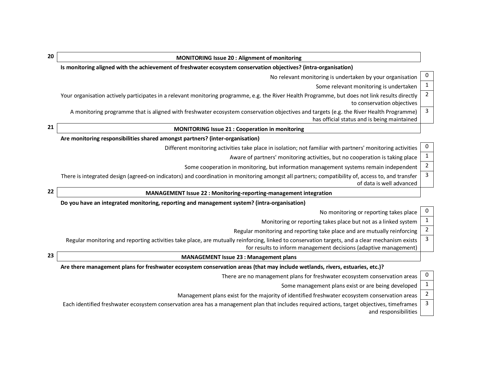| 20 | <b>MONITORING Issue 20: Alignment of monitoring</b>                                                                                                                                                                |                |
|----|--------------------------------------------------------------------------------------------------------------------------------------------------------------------------------------------------------------------|----------------|
|    | Is monitoring aligned with the achievement of freshwater ecosystem conservation objectives? (intra-organisation)                                                                                                   |                |
|    | No relevant monitoring is undertaken by your organisation                                                                                                                                                          | 0              |
|    | Some relevant monitoring is undertaken                                                                                                                                                                             | $\mathbf{1}$   |
|    | Your organisation actively participates in a relevant monitoring programme, e.g. the River Health Programme, but does not link results directly<br>to conservation objectives                                      | $\overline{2}$ |
|    | A monitoring programme that is aligned with freshwater ecosystem conservation objectives and targets (e.g. the River Health Programme)<br>has official status and is being maintained                              | 3              |
| 21 | <b>MONITORING Issue 21: Cooperation in monitoring</b>                                                                                                                                                              |                |
|    | Are monitoring responsibilities shared amongst partners? (inter-organisation)                                                                                                                                      |                |
|    | Different monitoring activities take place in isolation; not familiar with partners' monitoring activities                                                                                                         | 0              |
|    | Aware of partners' monitoring activities, but no cooperation is taking place                                                                                                                                       | $\mathbf{1}$   |
|    | Some cooperation in monitoring, but information management systems remain independent                                                                                                                              | $\overline{2}$ |
|    | There is integrated design (agreed-on indicators) and coordination in monitoring amongst all partners; compatibility of, access to, and transfer<br>of data is well advanced                                       | 3              |
| 22 | MANAGEMENT Issue 22 : Monitoring-reporting-management integration                                                                                                                                                  |                |
|    | Do you have an integrated monitoring, reporting and management system? (intra-organisation)                                                                                                                        |                |
|    | No monitoring or reporting takes place                                                                                                                                                                             | 0              |
| 23 | Monitoring or reporting takes place but not as a linked system                                                                                                                                                     | 1              |
|    | Regular monitoring and reporting take place and are mutually reinforcing                                                                                                                                           | $\overline{2}$ |
|    | Regular monitoring and reporting activities take place, are mutually reinforcing, linked to conservation targets, and a clear mechanism exists<br>for results to inform management decisions (adaptive management) | 3              |
|    | <b>MANAGEMENT Issue 23 : Management plans</b>                                                                                                                                                                      |                |
|    | Are there management plans for freshwater ecosystem conservation areas (that may include wetlands, rivers, estuaries, etc.)?                                                                                       |                |
|    | There are no management plans for freshwater ecosystem conservation areas                                                                                                                                          | 0              |
|    | Some management plans exist or are being developed                                                                                                                                                                 | $\mathbf{1}$   |
|    | Management plans exist for the majority of identified freshwater ecosystem conservation areas                                                                                                                      | $\overline{2}$ |
|    | Each identified freshwater ecosystem conservation area has a management plan that includes required actions, target objectives, timeframes<br>and responsibilities                                                 | 3              |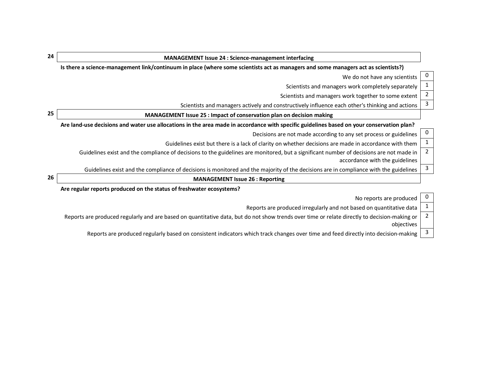| 24 | <b>MANAGEMENT Issue 24 : Science-management interfacing</b>                                                                                                               |                |
|----|---------------------------------------------------------------------------------------------------------------------------------------------------------------------------|----------------|
|    | Is there a science-management link/continuum in place (where some scientists act as managers and some managers act as scientists?)                                        |                |
|    | We do not have any scientists                                                                                                                                             | U              |
|    | Scientists and managers work completely separately                                                                                                                        | 1              |
|    | Scientists and managers work together to some extent                                                                                                                      | $\overline{2}$ |
|    | Scientists and managers actively and constructively influence each other's thinking and actions                                                                           | 3              |
| 25 | MANAGEMENT Issue 25 : Impact of conservation plan on decision making                                                                                                      |                |
|    | Are land-use decisions and water use allocations in the area made in accordance with specific guidelines based on your conservation plan?                                 |                |
|    | Decisions are not made according to any set process or guidelines                                                                                                         | $\cup$         |
|    | Guidelines exist but there is a lack of clarity on whether decisions are made in accordance with them                                                                     | 1              |
|    | Guidelines exist and the compliance of decisions to the guidelines are monitored, but a significant number of decisions are not made in<br>accordance with the guidelines | $\overline{2}$ |
|    | Guidelines exist and the compliance of decisions is monitored and the majority of the decisions are in compliance with the guidelines                                     | 3              |
| 26 | <b>MANAGEMENT Issue 26 : Reporting</b>                                                                                                                                    |                |
|    | Are regular reports produced on the status of freshwater ecosystems?                                                                                                      |                |
|    | No reports are produced                                                                                                                                                   | U              |
|    | Reports are produced irregularly and not based on quantitative data                                                                                                       |                |
|    | Reports are produced regularly and are based on quantitative data, but do not show trends over time or relate directly to decision-making or<br>objectives                | 2              |
|    | Reports are produced regularly based on consistent indicators which track changes over time and feed directly into decision-making                                        | 3              |